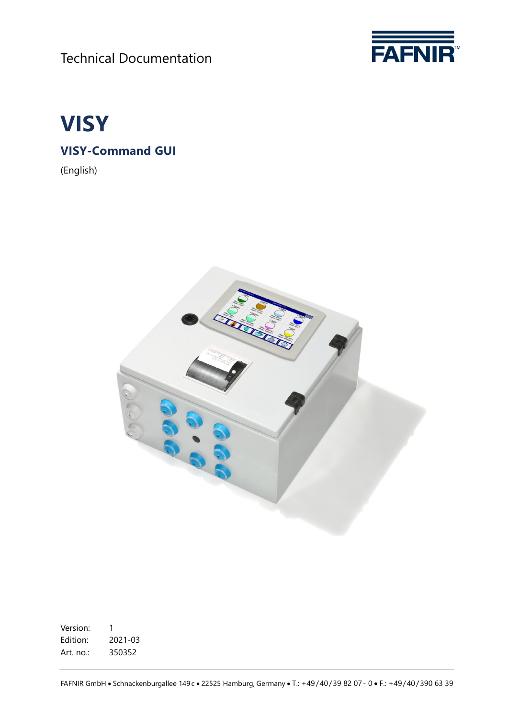Technical Documentation





**VISY-Command GUI**

(English)



Version: 1 Edition: 2021-03 Art. no.: 350352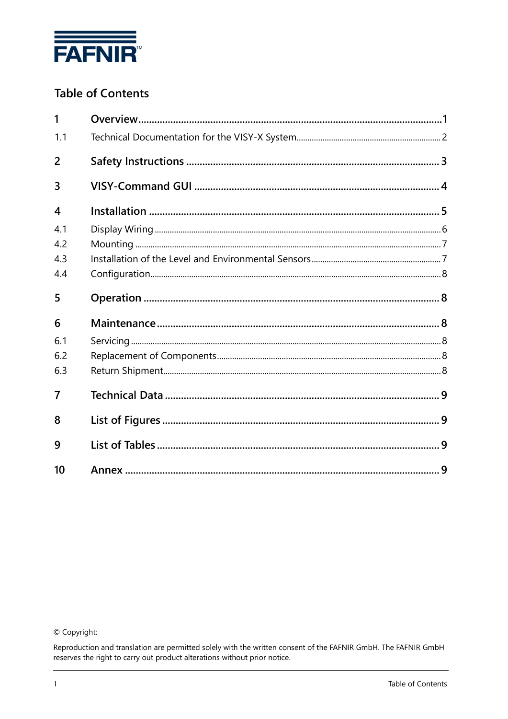

# **Table of Contents**

| 1                       |  |
|-------------------------|--|
| 1.1                     |  |
| 2                       |  |
| 3                       |  |
| $\overline{\mathbf{4}}$ |  |
| 4.1                     |  |
| 4.2                     |  |
| 4.3                     |  |
| 4.4                     |  |
| 5                       |  |
| 6                       |  |
| 6.1                     |  |
|                         |  |
| 6.2                     |  |
| 6.3                     |  |
| 7                       |  |
| 8                       |  |
| 9                       |  |

© Copyright:

Reproduction and translation are permitted solely with the written consent of the FAFNIR GmbH. The FAFNIR GmbH reserves the right to carry out product alterations without prior notice.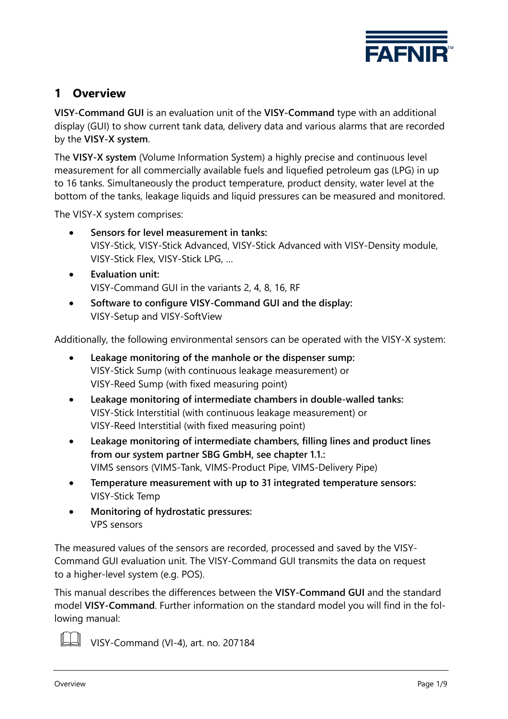

## <span id="page-2-0"></span>**1 Overview**

**VISY-Command GUI** is an evaluation unit of the **VISY-Command** type with an additional display (GUI) to show current tank data, delivery data and various alarms that are recorded by the **VISY-X system**.

The **VISY-X system** (Volume Information System) a highly precise and continuous level measurement for all commercially available fuels and liquefied petroleum gas (LPG) in up to 16 tanks. Simultaneously the product temperature, product density, water level at the bottom of the tanks, leakage liquids and liquid pressures can be measured and monitored.

The VISY-X system comprises:

- **Sensors for level measurement in tanks:** VISY-Stick, VISY-Stick Advanced, VISY-Stick Advanced with VISY-Density module, VISY-Stick Flex, VISY-Stick LPG, …
- **Evaluation unit:** VISY-Command GUI in the variants 2, 4, 8, 16, RF
- **Software to configure VISY-Command GUI and the display:** VISY-Setup and VISY-SoftView

Additionally, the following environmental sensors can be operated with the VISY-X system:

- **Leakage monitoring of the manhole or the dispenser sump:** VISY-Stick Sump (with continuous leakage measurement) or VISY-Reed Sump (with fixed measuring point)
- **Leakage monitoring of intermediate chambers in double-walled tanks:** VISY-Stick Interstitial (with continuous leakage measurement) or VISY-Reed Interstitial (with fixed measuring point)
- **Leakage monitoring of intermediate chambers, filling lines and product lines from our system partner SBG GmbH, see chapter [1.1.](#page-3-0):** VIMS sensors (VIMS-Tank, VIMS-Product Pipe, VIMS-Delivery Pipe)
- **Temperature measurement with up to 31 integrated temperature sensors:**  VISY-Stick Temp
- **Monitoring of hydrostatic pressures:** VPS sensors

The measured values of the sensors are recorded, processed and saved by the VISY-Command GUI evaluation unit. The VISY-Command GUI transmits the data on request to a higher-level system (e.g. POS).

This manual describes the differences between the **VISY-Command GUI** and the standard model **VISY-Command**. Further information on the standard model you will find in the following manual:



VISY-Command (VI-4), art. no. 207184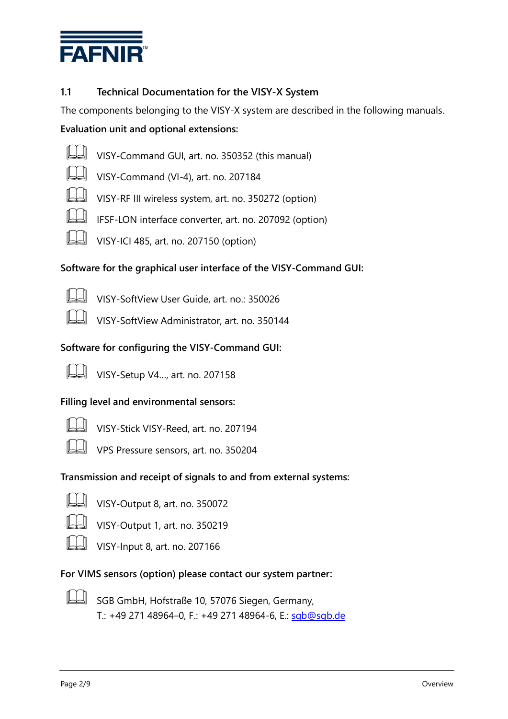

### <span id="page-3-0"></span>**1.1 Technical Documentation for the VISY-X System**

The components belonging to the VISY-X system are described in the following manuals. **Evaluation unit and optional extensions:**



VISY-Command GUI, art. no. <sup>350352</sup> (this manual)

- 
- VISY-Command (VI-4), art. no. <sup>207184</sup>
- VISY-RF III wireless system, art. no. 350272 (option)



- IFSF-LON interface converter, art. no. 207092 (option)
- VISY-ICI 485, art. no. 207150 (option)

#### **Software for the graphical user interface of the VISY-Command GUI:**

VISY-SoftView User Guide, art. no.: 350026

VISY-SoftView Administrator, art. no. 350144

### **Software for configuring the VISY-Command GUI:**



VISY-Setup V4…, art. no. 207158

#### **Filling level and environmental sensors:**

VISY-Stick VISY-Reed, art. no. 207194

VPS Pressure sensors, art. no. 350204

#### **Transmission and receipt of signals to and from external systems:**



VISY-Output 8, art. no. 350072





VISY-Output 1, art. no. 350219

VISY-Input 8, art. no. 207166

#### **For VIMS sensors (option) please contact our system partner:**



 SGB GmbH, Hofstraße 10, 57076 Siegen, Germany, T.: +49 271 48964–0, F.: +49 271 48964-6, E.: [sgb@sgb.de](mailto:sgb@sgb.de)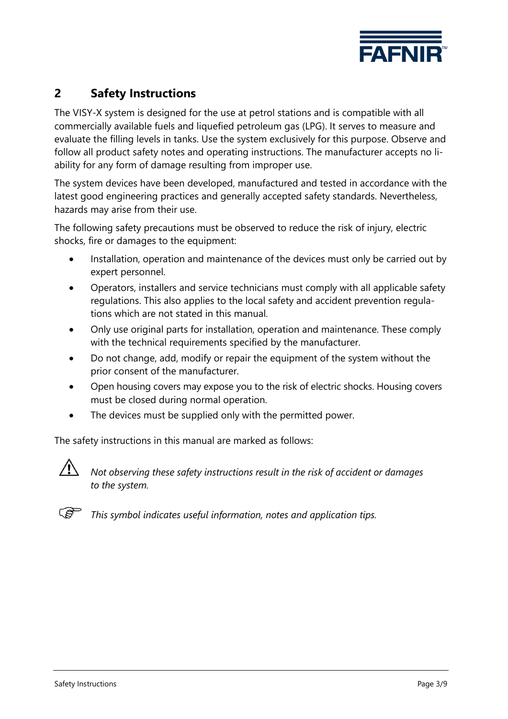

## <span id="page-4-0"></span>**2 Safety Instructions**

The VISY-X system is designed for the use at petrol stations and is compatible with all commercially available fuels and liquefied petroleum gas (LPG). It serves to measure and evaluate the filling levels in tanks. Use the system exclusively for this purpose. Observe and follow all product safety notes and operating instructions. The manufacturer accepts no liability for any form of damage resulting from improper use.

The system devices have been developed, manufactured and tested in accordance with the latest good engineering practices and generally accepted safety standards. Nevertheless, hazards may arise from their use.

The following safety precautions must be observed to reduce the risk of injury, electric shocks, fire or damages to the equipment:

- Installation, operation and maintenance of the devices must only be carried out by expert personnel.
- Operators, installers and service technicians must comply with all applicable safety regulations. This also applies to the local safety and accident prevention regulations which are not stated in this manual.
- Only use original parts for installation, operation and maintenance. These comply with the technical requirements specified by the manufacturer.
- Do not change, add, modify or repair the equipment of the system without the prior consent of the manufacturer.
- Open housing covers may expose you to the risk of electric shocks. Housing covers must be closed during normal operation.
- The devices must be supplied only with the permitted power.

The safety instructions in this manual are marked as follows:



*Not observing these safety instructions result in the risk of accident or damages to the system.*



*This symbol indicates useful information, notes and application tips.*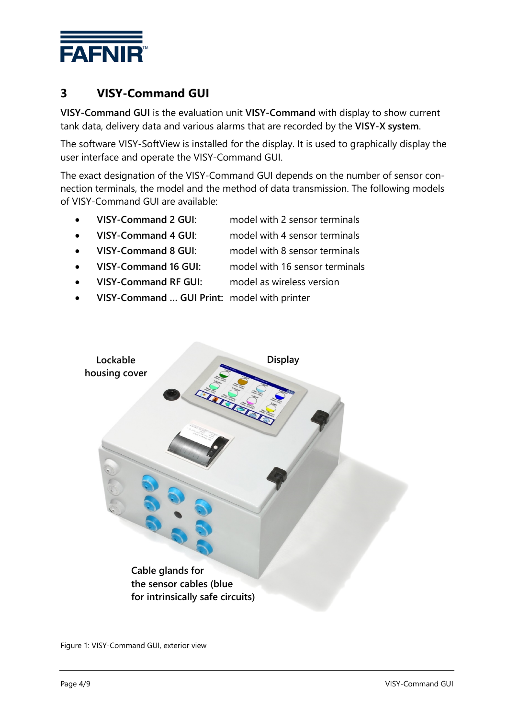

# <span id="page-5-0"></span>**3 VISY-Command GUI**

**VISY-Command GUI** is the evaluation unit **VISY-Command** with display to show current tank data, delivery data and various alarms that are recorded by the **VISY-X system**.

The software VISY-SoftView is installed for the display. It is used to graphically display the user interface and operate the VISY-Command GUI.

The exact designation of the VISY-Command GUI depends on the number of sensor connection terminals, the model and the method of data transmission. The following models of VISY-Command GUI are available:

- **VISY-Command 2 GUI**: model with 2 sensor terminals
- **VISY-Command 4 GUI**: model with 4 sensor terminals
- **VISY-Command 8 GUI**: model with 8 sensor terminals
- **VISY-Command 16 GUI:** model with 16 sensor terminals
- **VISY-Command RF GUI:** model as wireless version
	- **VISY-Command … GUI Print:** model with printer



<span id="page-5-1"></span>Figure 1: VISY-Command GUI, exterior view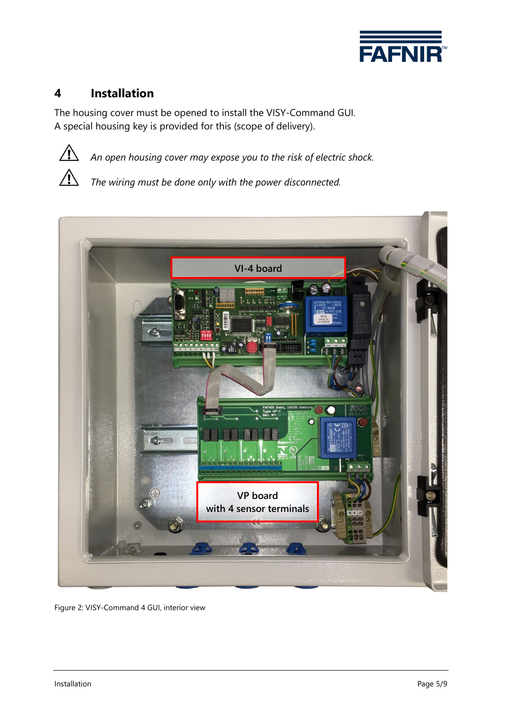

## <span id="page-6-0"></span>**4 Installation**

The housing cover must be opened to install the VISY-Command GUI. A special housing key is provided for this (scope of delivery).



*An open housing cover may expose you to the risk of electric shock.*

*The wiring must be done only with the power disconnected.*



<span id="page-6-1"></span>Figure 2: VISY-Command 4 GUI, interior view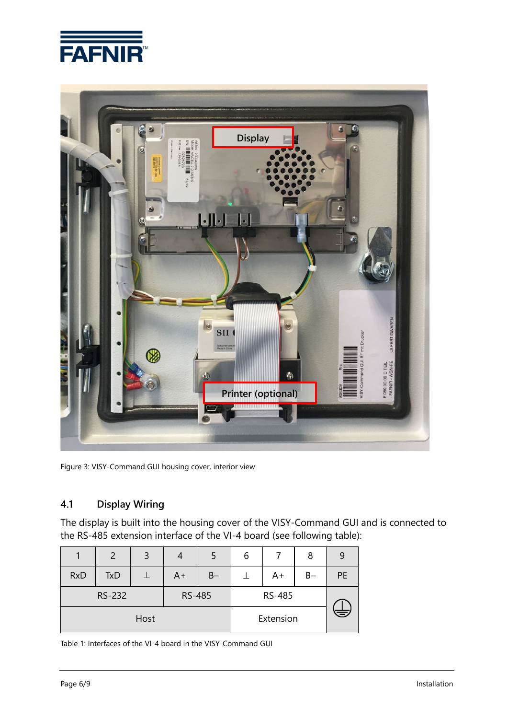



Figure 3: VISY-Command GUI housing cover, interior view

### <span id="page-7-1"></span><span id="page-7-0"></span>**4.1 Display Wiring**

The display is built into the housing cover of the VISY-Command GUI and is connected to the RS-485 extension interface of the VI-4 board (see following table):

|    | 8     |           | 6 |                  | 4  | 3    | $\mathcal{P}$ |            |
|----|-------|-----------|---|------------------|----|------|---------------|------------|
| PE | $B -$ | $A+$      |   | $B -$            | A+ |      | <b>TxD</b>    | <b>RxD</b> |
|    |       | RS-485    |   | RS-232<br>RS-485 |    |      |               |            |
|    |       | Extension |   |                  |    | Host |               |            |

<span id="page-7-2"></span>Table 1: Interfaces of the VI-4 board in the VISY-Command GUI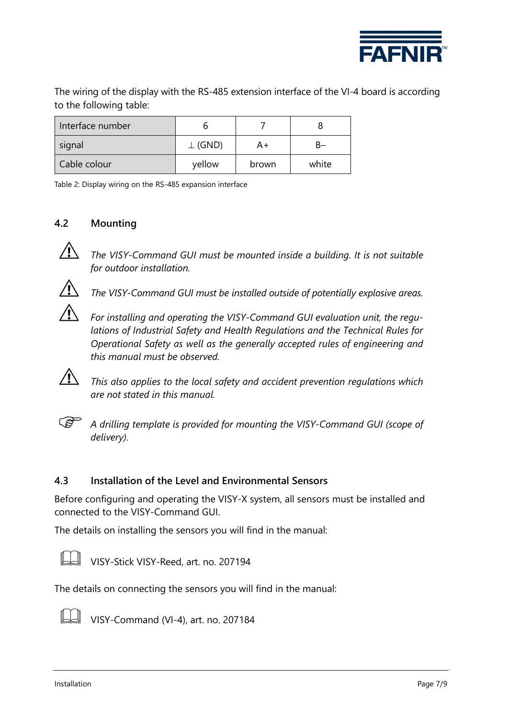

The wiring of the display with the RS-485 extension interface of the VI-4 board is according to the following table:

| Interface number |               |       |       |
|------------------|---------------|-------|-------|
| signal           | $\perp$ (GND) | A+    | к–    |
| Cable colour     | yellow        | brown | white |

<span id="page-8-2"></span>Table 2: Display wiring on the RS-485 expansion interface

### <span id="page-8-0"></span>**4.2 Mounting**



*The VISY-Command GUI must be mounted inside a building. It is not suitable for outdoor installation.*



*The VISY-Command GUI must be installed outside of potentially explosive areas.*



*For installing and operating the VISY-Command GUI evaluation unit, the regulations of Industrial Safety and Health Regulations and the Technical Rules for Operational Safety as well as the generally accepted rules of engineering and this manual must be observed.*

*This also applies to the local safety and accident prevention regulations which are not stated in this manual.*



 $\sqrt{N}$ 

*A drilling template is provided for mounting the VISY-Command GUI (scope of delivery).*

#### <span id="page-8-1"></span>**4.3 Installation of the Level and Environmental Sensors**

Before configuring and operating the VISY-X system, all sensors must be installed and connected to the VISY-Command GUI.

The details on installing the sensors you will find in the manual:



VISY-Stick VISY-Reed, art. no. 207194

The details on connecting the sensors you will find in the manual:



VISY-Command (VI-4), art. no. 207184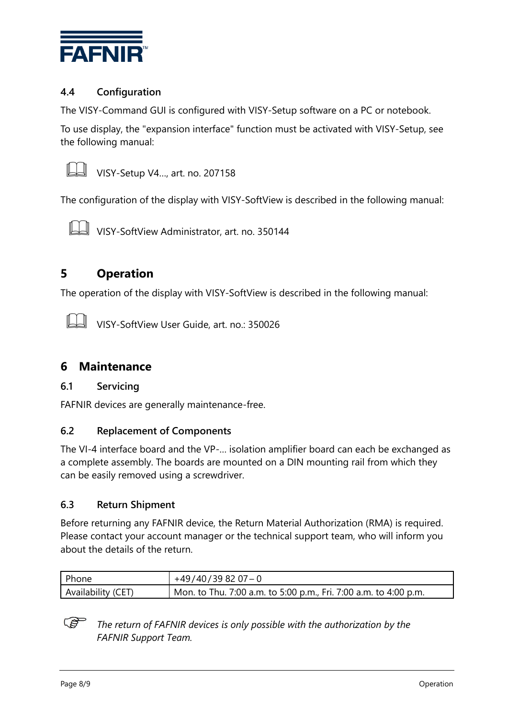

#### <span id="page-9-0"></span>**4.4 Configuration**

The VISY-Command GUI is configured with VISY-Setup software on a PC or notebook.

To use display, the "expansion interface" function must be activated with VISY-Setup, see the following manual:



VISY-Setup V4…, art. no. 207158

The configuration of the display with VISY-SoftView is described in the following manual:



VISY-SoftView Administrator, art. no. 350144

### <span id="page-9-1"></span>**5 Operation**

The operation of the display with VISY-SoftView is described in the following manual:

VISY-SoftView User Guide, art. no.: 350026

### <span id="page-9-2"></span>**6 Maintenance**

#### <span id="page-9-3"></span>**6.1 Servicing**

FAFNIR devices are generally maintenance-free.

#### <span id="page-9-4"></span>**6.2 Replacement of Components**

The VI-4 interface board and the VP-… isolation amplifier board can each be exchanged as a complete assembly. The boards are mounted on a DIN mounting rail from which they can be easily removed using a screwdriver.

#### <span id="page-9-5"></span>**6.3 Return Shipment**

Before returning any FAFNIR device, the Return Material Authorization (RMA) is required. Please contact your account manager or the technical support team, who will inform you about the details of the return.

| Phone              | $+49/40/398207-0$                                                |
|--------------------|------------------------------------------------------------------|
| Availability (CET) | Mon. to Thu. 7:00 a.m. to 5:00 p.m., Fri. 7:00 a.m. to 4:00 p.m. |

 $\mathbb{R}$ *The return of FAFNIR devices is only possible with the authorization by the FAFNIR Support Team.*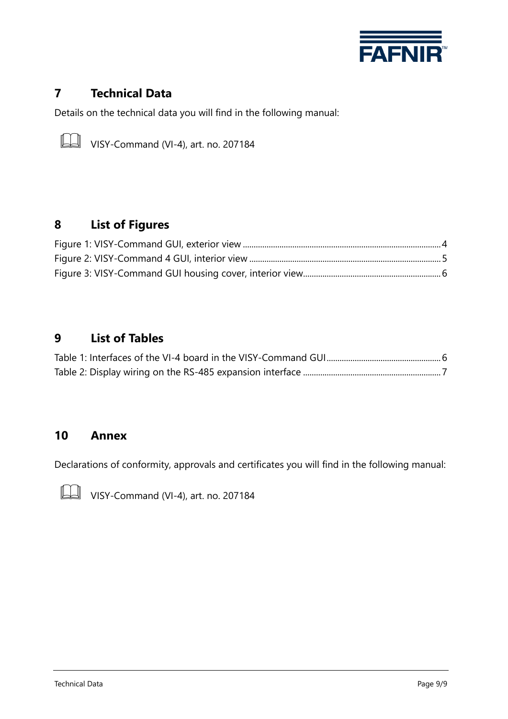

## <span id="page-10-0"></span>**7 Technical Data**

Details on the technical data you will find in the following manual:



 $\Box$  VISY-Command (VI-4), art. no. 207184

# <span id="page-10-1"></span>**8 List of Figures**

## <span id="page-10-2"></span>**9 List of Tables**

### <span id="page-10-3"></span>**10 Annex**

Declarations of conformity, approvals and certificates you will find in the following manual:



**VISY-Command (VI-4), art. no. 207184**